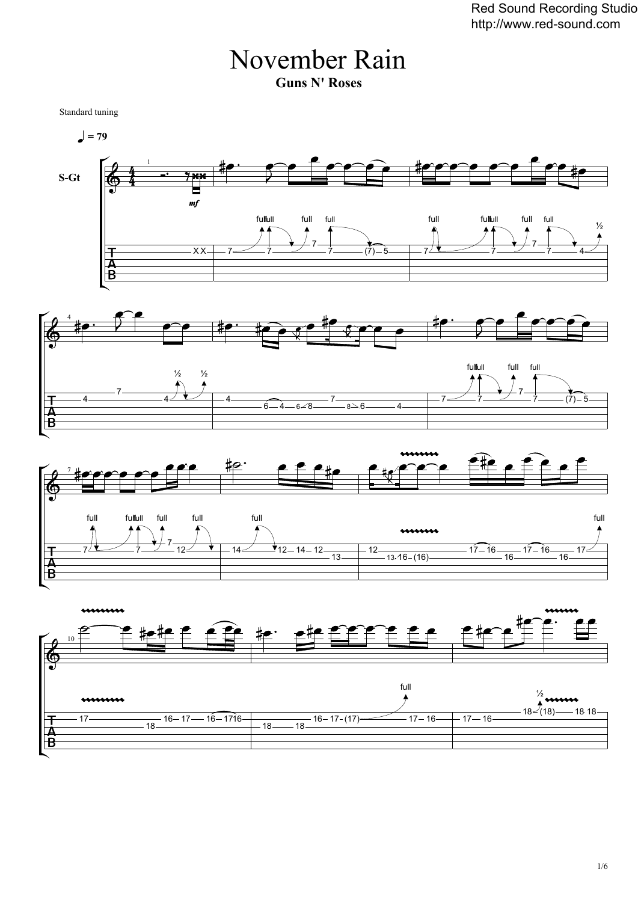## November Rain **Guns N' Roses**

Standard tuning







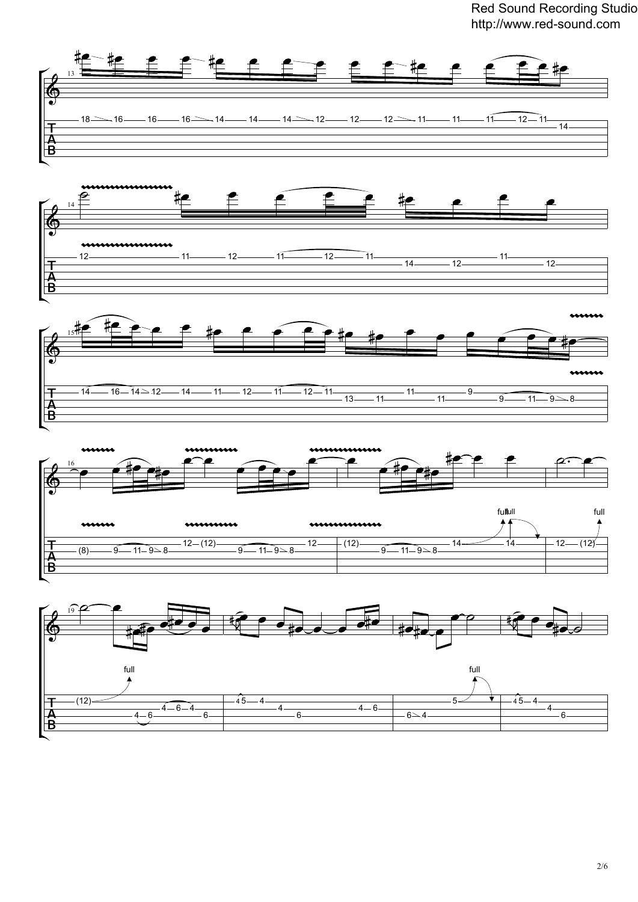







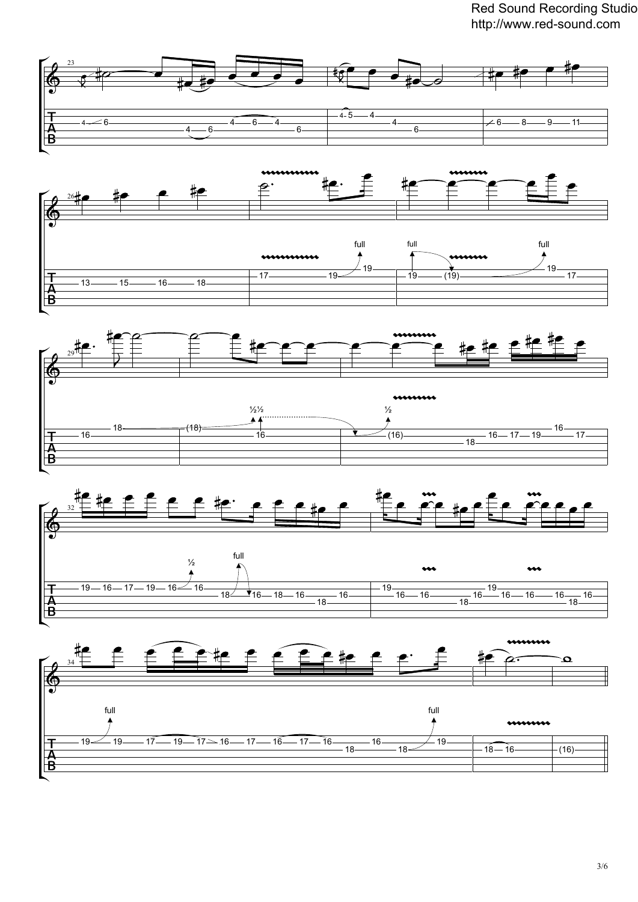







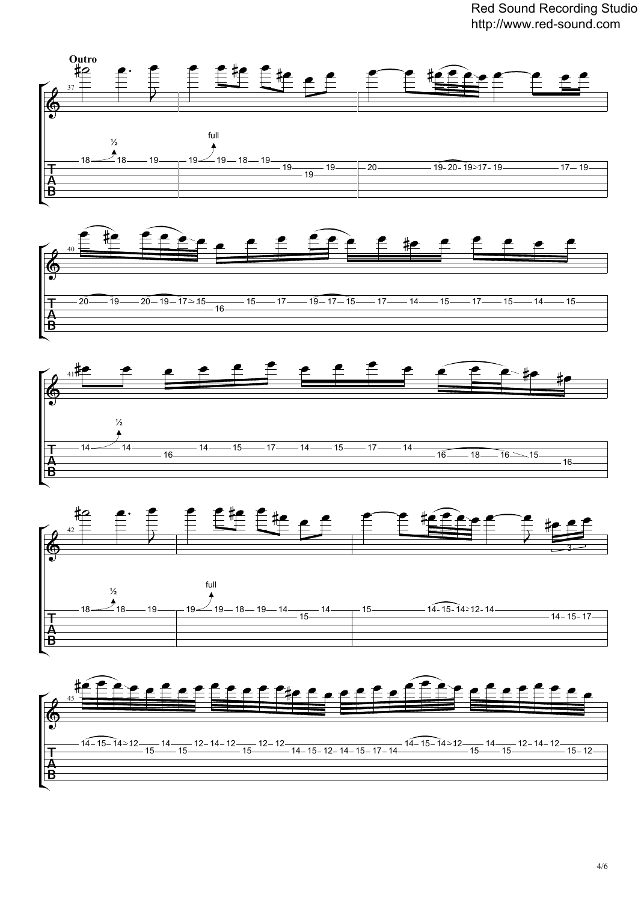







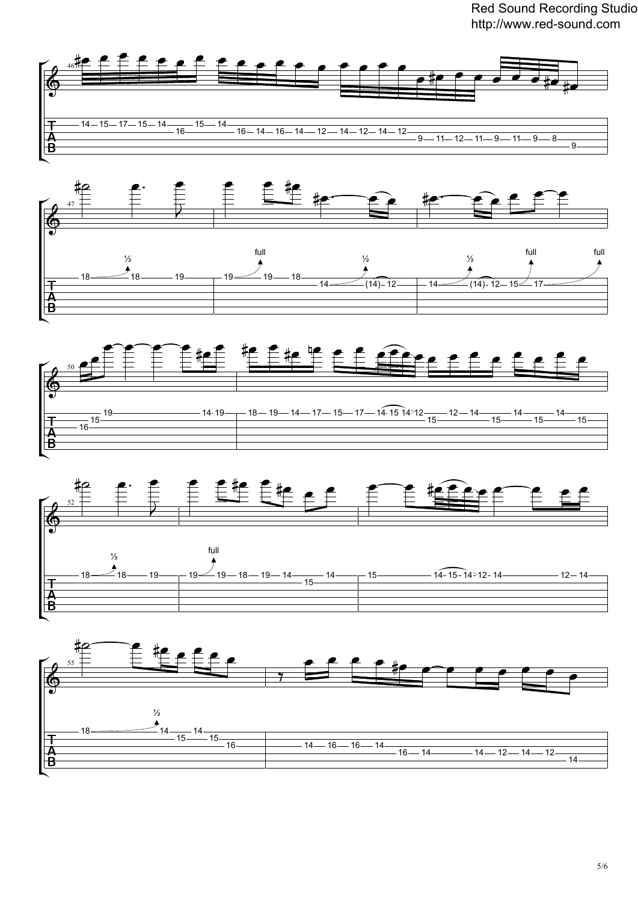